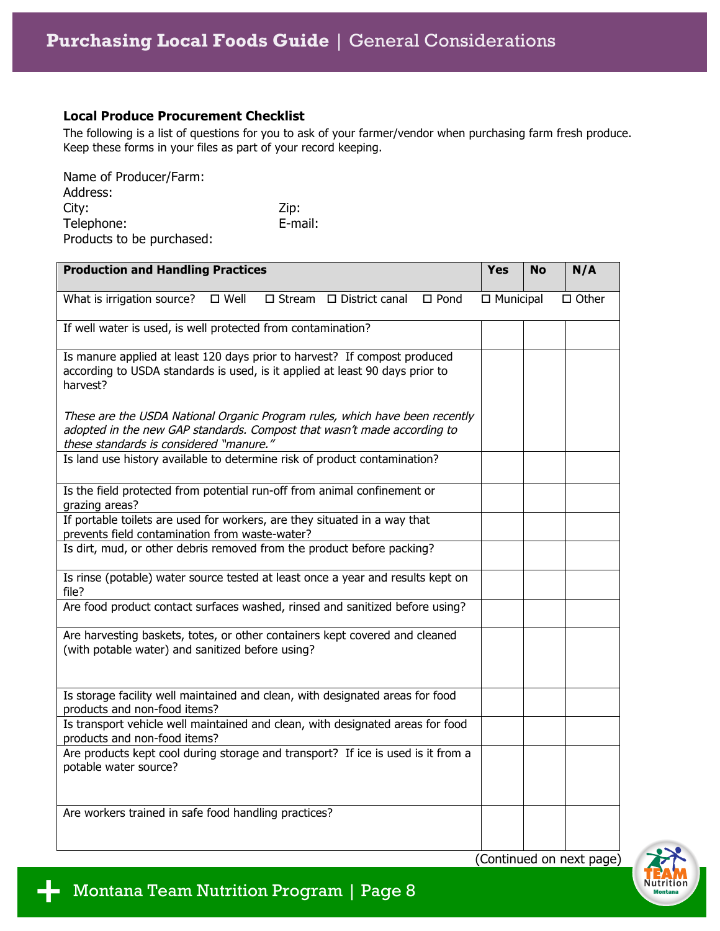## **Local Produce Procurement Checklist**

The following is a list of questions for you to ask of your farmer/vendor when purchasing farm fresh produce. Keep these forms in your files as part of your record keeping.

| Name of Producer/Farm:    |         |
|---------------------------|---------|
| Address:                  |         |
| City:                     | Zip:    |
| Telephone:                | E-mail: |
| Products to be purchased: |         |

| <b>Production and Handling Practices</b>                                                                                                                                                          | <b>Yes</b>       | <b>No</b> | N/A          |
|---------------------------------------------------------------------------------------------------------------------------------------------------------------------------------------------------|------------------|-----------|--------------|
| What is irrigation source?<br>$\square$ Well<br>$\Box$ Stream $\Box$ District canal<br>$\square$ Pond                                                                                             | $\Box$ Municipal |           | $\Box$ Other |
| If well water is used, is well protected from contamination?                                                                                                                                      |                  |           |              |
| Is manure applied at least 120 days prior to harvest? If compost produced<br>according to USDA standards is used, is it applied at least 90 days prior to<br>harvest?                             |                  |           |              |
| These are the USDA National Organic Program rules, which have been recently<br>adopted in the new GAP standards. Compost that wasn't made according to<br>these standards is considered "manure." |                  |           |              |
| Is land use history available to determine risk of product contamination?                                                                                                                         |                  |           |              |
| Is the field protected from potential run-off from animal confinement or<br>grazing areas?                                                                                                        |                  |           |              |
| If portable toilets are used for workers, are they situated in a way that<br>prevents field contamination from waste-water?                                                                       |                  |           |              |
| Is dirt, mud, or other debris removed from the product before packing?                                                                                                                            |                  |           |              |
| Is rinse (potable) water source tested at least once a year and results kept on<br>file?                                                                                                          |                  |           |              |
| Are food product contact surfaces washed, rinsed and sanitized before using?                                                                                                                      |                  |           |              |
| Are harvesting baskets, totes, or other containers kept covered and cleaned<br>(with potable water) and sanitized before using?                                                                   |                  |           |              |
| Is storage facility well maintained and clean, with designated areas for food<br>products and non-food items?                                                                                     |                  |           |              |
| Is transport vehicle well maintained and clean, with designated areas for food<br>products and non-food items?                                                                                    |                  |           |              |
| Are products kept cool during storage and transport? If ice is used is it from a<br>potable water source?                                                                                         |                  |           |              |
| Are workers trained in safe food handling practices?                                                                                                                                              |                  |           |              |

(Continued on next page)